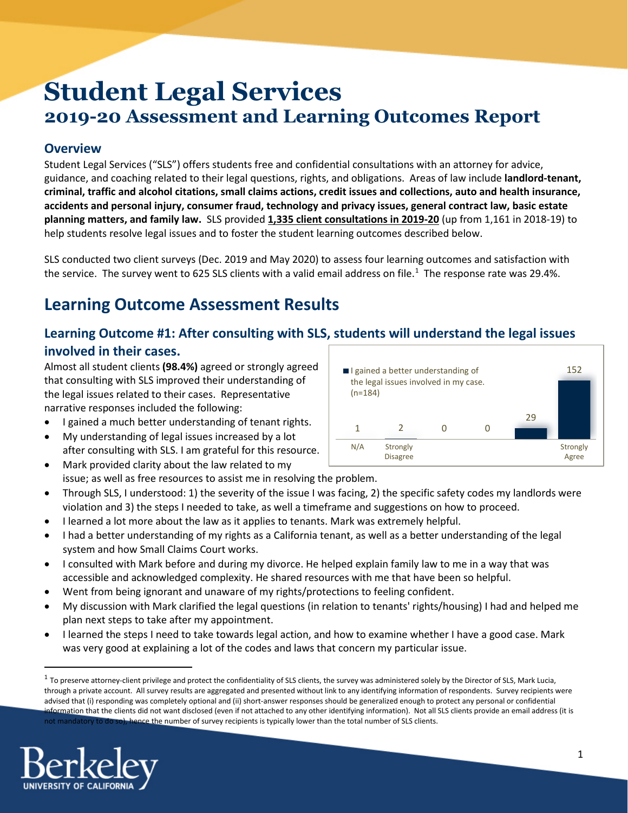# **Student Legal Services 2019-20 Assessment and Learning Outcomes Report**

## **Overview**

Student Legal Services ("SLS") offers students free and confidential consultations with an attorney for advice, guidance, and coaching related to their legal questions, rights, and obligations. Areas of law include **landlord-tenant, criminal, traffic and alcohol citations, small claims actions, credit issues and collections, auto and health insurance, accidents and personal injury, consumer fraud, technology and privacy issues, general contract law, basic estate planning matters, and family law.** SLS provided **1,335 client consultations in 2019-20** (up from 1,161 in 2018-19) to help students resolve legal issues and to foster the student learning outcomes described below.

SLS conducted two client surveys (Dec. 2019 and May 2020) to assess four learning outcomes and satisfaction with the service. The survey went to 625 SLS clients with a valid email address on file.<sup>[1](#page-0-0)</sup> The response rate was 29.4%.

# **Learning Outcome Assessment Results**

## **Learning Outcome #1: After consulting with SLS, students will understand the legal issues involved in their cases.**

Almost all student clients **(98.4%)** agreed or strongly agreed that consulting with SLS improved their understanding of the legal issues related to their cases. Representative narrative responses included the following:

- I gained a much better understanding of tenant rights.
- My understanding of legal issues increased by a lot after consulting with SLS. I am grateful for this resource.
- Mark provided clarity about the law related to my issue; as well as free resources to assist me in resolving the problem.
- Through SLS, I understood: 1) the severity of the issue I was facing, 2) the specific safety codes my landlords were violation and 3) the steps I needed to take, as well a timeframe and suggestions on how to proceed.
- I learned a lot more about the law as it applies to tenants. Mark was extremely helpful.
- I had a better understanding of my rights as a California tenant, as well as a better understanding of the legal system and how Small Claims Court works.
- I consulted with Mark before and during my divorce. He helped explain family law to me in a way that was accessible and acknowledged complexity. He shared resources with me that have been so helpful.
- Went from being ignorant and unaware of my rights/protections to feeling confident.
- My discussion with Mark clarified the legal questions (in relation to tenants' rights/housing) I had and helped me plan next steps to take after my appointment.
- I learned the steps I need to take towards legal action, and how to examine whether I have a good case. Mark was very good at explaining a lot of the codes and laws that concern my particular issue.

<span id="page-0-0"></span> $1$  To preserve attorney-client privilege and protect the confidentiality of SLS clients, the survey was administered solely by the Director of SLS, Mark Lucia, through a private account. All survey results are aggregated and presented without link to any identifying information of respondents. Survey recipients were advised that (i) responding was completely optional and (ii) short-answer responses should be generalized enough to protect any personal or confidential information that the clients did not want disclosed (even if not attached to any other identifying information). Not all SLS clients provide an email address (it is not mandatory to do so), hence the number of survey recipients is typically lower than the total number of SLS clients.



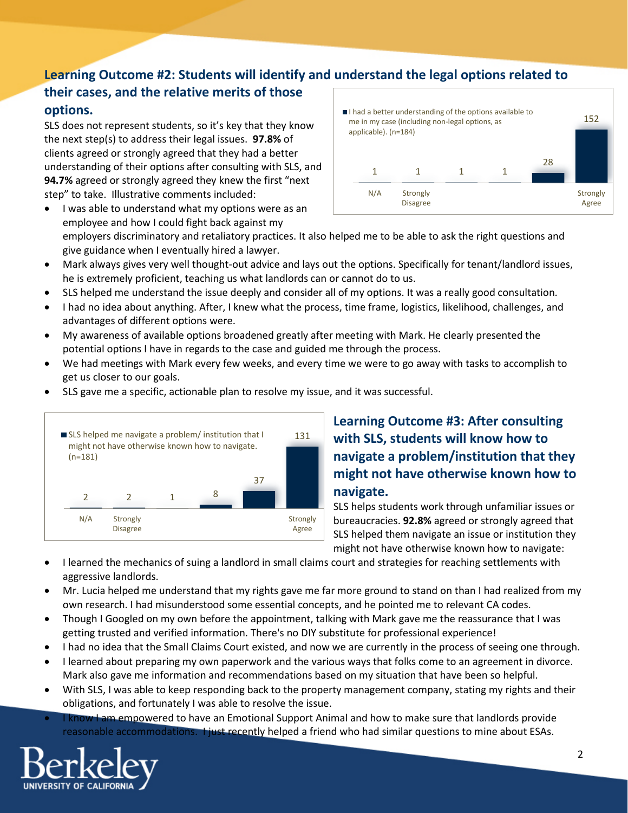# **Learning Outcome #2: Students will identify and understand the legal options related to**

## **their cases, and the relative merits of those options.**

SLS does not represent students, so it's key that they know the next step(s) to address their legal issues. **97.8%** of clients agreed or strongly agreed that they had a better understanding of their options after consulting with SLS, and **94.7%** agreed or strongly agreed they knew the first "next step" to take. Illustrative comments included:

• I was able to understand what my options were as an

- 1 1 1 1 28 152 N/A Strongly Disagree **Strongly** Agree I had a better understanding of the options available to me in my case (including non-legal options, as applicable). (n=184)
- employee and how I could fight back against my employers discriminatory and retaliatory practices. It also helped me to be able to ask the right questions and give guidance when I eventually hired a lawyer.
- Mark always gives very well thought-out advice and lays out the options. Specifically for tenant/landlord issues, he is extremely proficient, teaching us what landlords can or cannot do to us.
- SLS helped me understand the issue deeply and consider all of my options. It was a really good consultation.
- I had no idea about anything. After, I knew what the process, time frame, logistics, likelihood, challenges, and advantages of different options were.
- My awareness of available options broadened greatly after meeting with Mark. He clearly presented the potential options I have in regards to the case and guided me through the process.
- We had meetings with Mark every few weeks, and every time we were to go away with tasks to accomplish to get us closer to our goals.
- SLS gave me a specific, actionable plan to resolve my issue, and it was successful.



## **Learning Outcome #3: After consulting with SLS, students will know how to navigate a problem/institution that they might not have otherwise known how to navigate.**

SLS helps students work through unfamiliar issues or bureaucracies. **92.8%** agreed or strongly agreed that SLS helped them navigate an issue or institution they might not have otherwise known how to navigate:

- I learned the mechanics of suing a landlord in small claims court and strategies for reaching settlements with aggressive landlords.
- Mr. Lucia helped me understand that my rights gave me far more ground to stand on than I had realized from my own research. I had misunderstood some essential concepts, and he pointed me to relevant CA codes.
- Though I Googled on my own before the appointment, talking with Mark gave me the reassurance that I was getting trusted and verified information. There's no DIY substitute for professional experience!
- I had no idea that the Small Claims Court existed, and now we are currently in the process of seeing one through.
- I learned about preparing my own paperwork and the various ways that folks come to an agreement in divorce. Mark also gave me information and recommendations based on my situation that have been so helpful.
- With SLS, I was able to keep responding back to the property management company, stating my rights and their obligations, and fortunately I was able to resolve the issue.
- **I know I am empowered to have an Emotional Support Animal and how to make sure that landlords provide** reasonable accommodations. **I just recently helped a friend who had similar questions to mine about ESAs.**

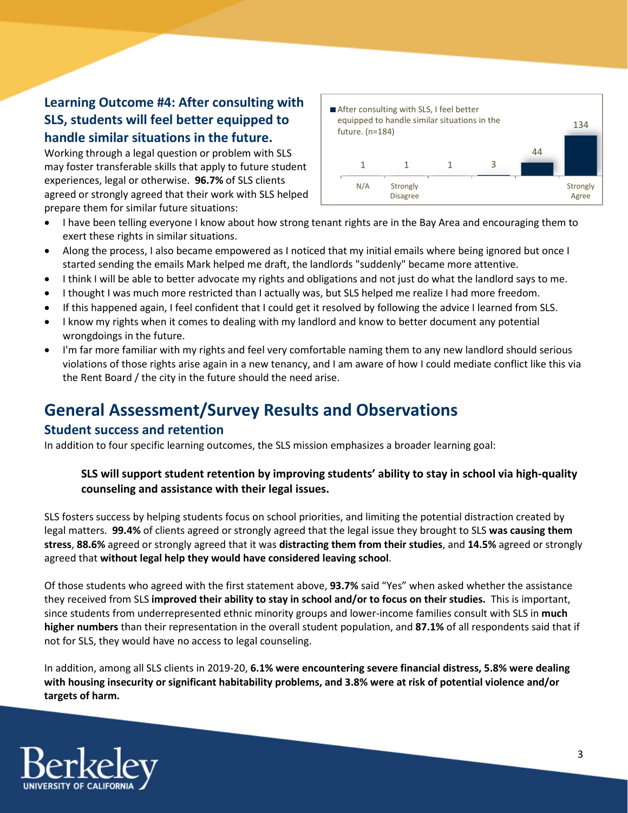## **Learning Outcome #4: After consulting with SLS, students will feel better equipped to handle similar situations in the future.**

Working through a legal question or problem with SLS may foster transferable skills that apply to future student experiences, legal or otherwise. **96.7%** of SLS clients agreed or strongly agreed that their work with SLS helped prepare them for similar future situations:



- I have been telling everyone I know about how strong tenant rights are in the Bay Area and encouraging them to exert these rights in similar situations.
- Along the process, I also became empowered as I noticed that my initial emails where being ignored but once I started sending the emails Mark helped me draft, the landlords "suddenly" became more attentive.
- I think I will be able to better advocate my rights and obligations and not just do what the landlord says to me.
- I thought I was much more restricted than I actually was, but SLS helped me realize I had more freedom.
- If this happened again, I feel confident that I could get it resolved by following the advice I learned from SLS.
- I know my rights when it comes to dealing with my landlord and know to better document any potential wrongdoings in the future.
- I'm far more familiar with my rights and feel very comfortable naming them to any new landlord should serious violations of those rights arise again in a new tenancy, and I am aware of how I could mediate conflict like this via the Rent Board / the city in the future should the need arise.

# **General Assessment/Survey Results and Observations**

#### **Student success and retention**

In addition to four specific learning outcomes, the SLS mission emphasizes a broader learning goal:

#### **SLS will support student retention by improving students' ability to stay in school via high-quality counseling and assistance with their legal issues.**

SLS fosters success by helping students focus on school priorities, and limiting the potential distraction created by legal matters. **99.4%** of clients agreed or strongly agreed that the legal issue they brought to SLS **was causing them stress**, **88.6%** agreed or strongly agreed that it was **distracting them from their studies**, and **14.5%** agreed or strongly agreed that **without legal help they would have considered leaving school**.

Of those students who agreed with the first statement above, **93.7%** said "Yes" when asked whether the assistance they received from SLS **improved their ability to stay in school and/or to focus on their studies.** This is important, since students from underrepresented ethnic minority groups and lower-income families consult with SLS in **much higher numbers** than their representation in the overall student population, and **87.1%** of all respondents said that if not for SLS, they would have no access to legal counseling.

In addition, among all SLS clients in 2019-20, **6.1% were encountering severe financial distress, 5.8% were dealing with housing insecurity or significant habitability problems, and 3.8% were at risk of potential violence and/or targets of harm.**

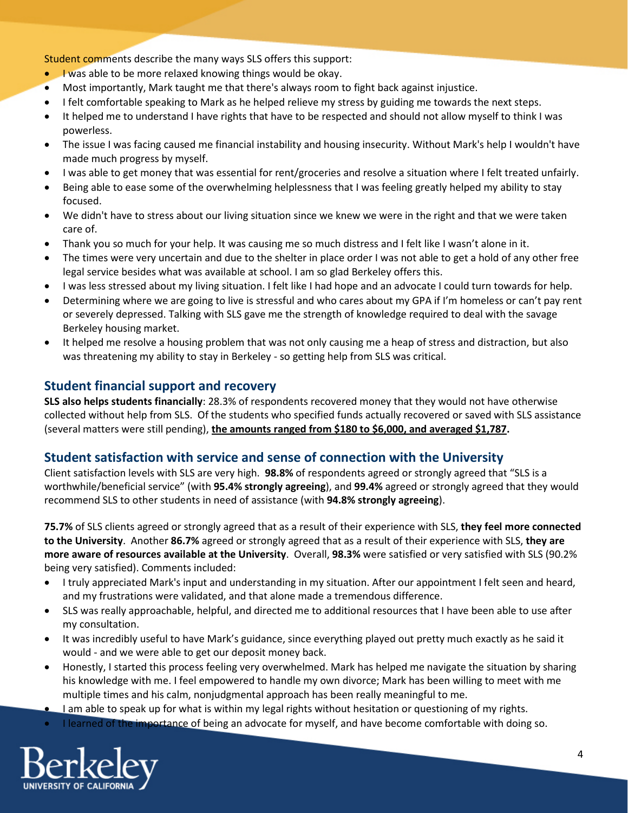Student comments describe the many ways SLS offers this support:

- **I was able to be more relaxed knowing things would be okay.**
- Most importantly, Mark taught me that there's always room to fight back against injustice.
- I felt comfortable speaking to Mark as he helped relieve my stress by guiding me towards the next steps.
- It helped me to understand I have rights that have to be respected and should not allow myself to think I was powerless.
- The issue I was facing caused me financial instability and housing insecurity. Without Mark's help I wouldn't have made much progress by myself.
- I was able to get money that was essential for rent/groceries and resolve a situation where I felt treated unfairly.
- Being able to ease some of the overwhelming helplessness that I was feeling greatly helped my ability to stay focused.
- We didn't have to stress about our living situation since we knew we were in the right and that we were taken care of.
- Thank you so much for your help. It was causing me so much distress and I felt like I wasn't alone in it.
- The times were very uncertain and due to the shelter in place order I was not able to get a hold of any other free legal service besides what was available at school. I am so glad Berkeley offers this.
- I was less stressed about my living situation. I felt like I had hope and an advocate I could turn towards for help.
- Determining where we are going to live is stressful and who cares about my GPA if I'm homeless or can't pay rent or severely depressed. Talking with SLS gave me the strength of knowledge required to deal with the savage Berkeley housing market.
- It helped me resolve a housing problem that was not only causing me a heap of stress and distraction, but also was threatening my ability to stay in Berkeley - so getting help from SLS was critical.

#### **Student financial support and recovery**

**SLS also helps students financially**: 28.3% of respondents recovered money that they would not have otherwise collected without help from SLS. Of the students who specified funds actually recovered or saved with SLS assistance (several matters were still pending), **the amounts ranged from \$180 to \$6,000, and averaged \$1,787.**

## **Student satisfaction with service and sense of connection with the University**

Client satisfaction levels with SLS are very high. **98.8%** of respondents agreed or strongly agreed that "SLS is a worthwhile/beneficial service" (with **95.4% strongly agreeing**), and **99.4%** agreed or strongly agreed that they would recommend SLS to other students in need of assistance (with **94.8% strongly agreeing**).

**75.7%** of SLS clients agreed or strongly agreed that as a result of their experience with SLS, **they feel more connected to the University**. Another **86.7%** agreed or strongly agreed that as a result of their experience with SLS, **they are more aware of resources available at the University**. Overall, **98.3%** were satisfied or very satisfied with SLS (90.2% being very satisfied). Comments included:

- I truly appreciated Mark's input and understanding in my situation. After our appointment I felt seen and heard, and my frustrations were validated, and that alone made a tremendous difference.
- SLS was really approachable, helpful, and directed me to additional resources that I have been able to use after my consultation.
- It was incredibly useful to have Mark's guidance, since everything played out pretty much exactly as he said it would - and we were able to get our deposit money back.
- Honestly, I started this process feeling very overwhelmed. Mark has helped me navigate the situation by sharing his knowledge with me. I feel empowered to handle my own divorce; Mark has been willing to meet with me multiple times and his calm, nonjudgmental approach has been really meaningful to me.
- I am able to speak up for what is within my legal rights without hesitation or questioning of my rights.
- I learned of the importance of being an advocate for myself, and have become comfortable with doing so.